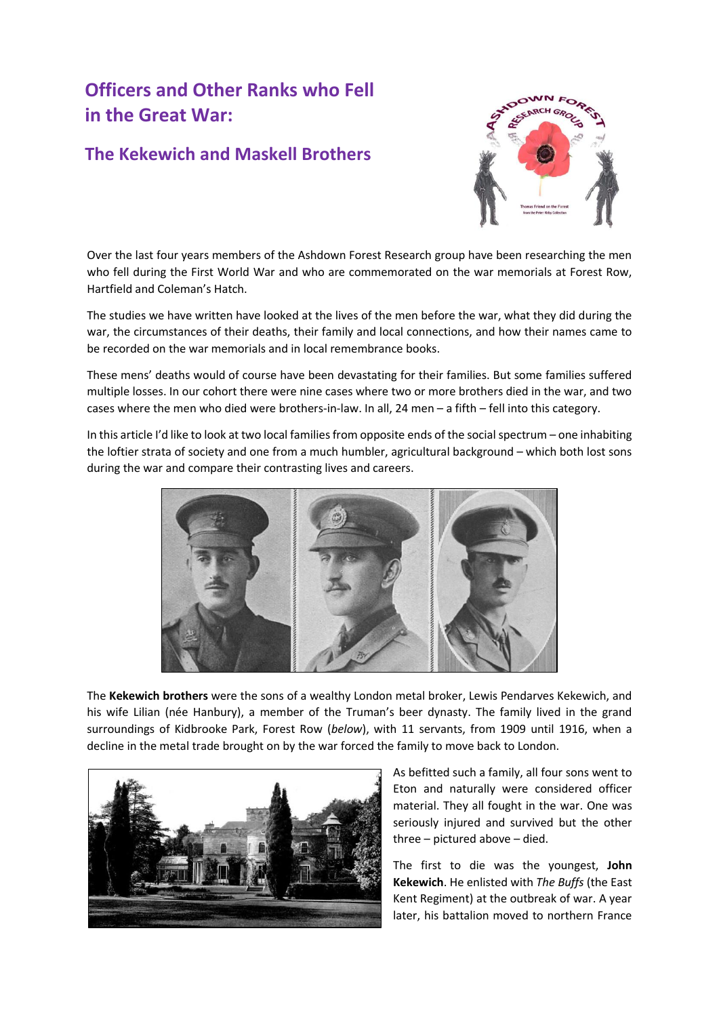## **Officers and Other Ranks who Fell in the Great War:**

## **The Kekewich and Maskell Brothers**



Over the last four years members of the Ashdown Forest Research group have been researching the men who fell during the First World War and who are commemorated on the war memorials at Forest Row, Hartfield and Coleman's Hatch.

The studies we have written have looked at the lives of the men before the war, what they did during the war, the circumstances of their deaths, their family and local connections, and how their names came to be recorded on the war memorials and in local remembrance books.

These mens' deaths would of course have been devastating for their families. But some families suffered multiple losses. In our cohort there were nine cases where two or more brothers died in the war, and two cases where the men who died were brothers-in-law. In all, 24 men – a fifth – fell into this category.

In this article I'd like to look at two local families from opposite ends of the social spectrum – one inhabiting the loftier strata of society and one from a much humbler, agricultural background – which both lost sons during the war and compare their contrasting lives and careers.



The **Kekewich brothers** were the sons of a wealthy London metal broker, Lewis Pendarves Kekewich, and his wife Lilian (née Hanbury), a member of the Truman's beer dynasty. The family lived in the grand surroundings of Kidbrooke Park, Forest Row (*below*), with 11 servants, from 1909 until 1916, when a decline in the metal trade brought on by the war forced the family to move back to London.



As befitted such a family, all four sons went to Eton and naturally were considered officer material. They all fought in the war. One was seriously injured and survived but the other three – pictured above – died.

The first to die was the youngest, **John Kekewich**. He enlisted with *The Buffs* (the East Kent Regiment) at the outbreak of war. A year later, his battalion moved to northern France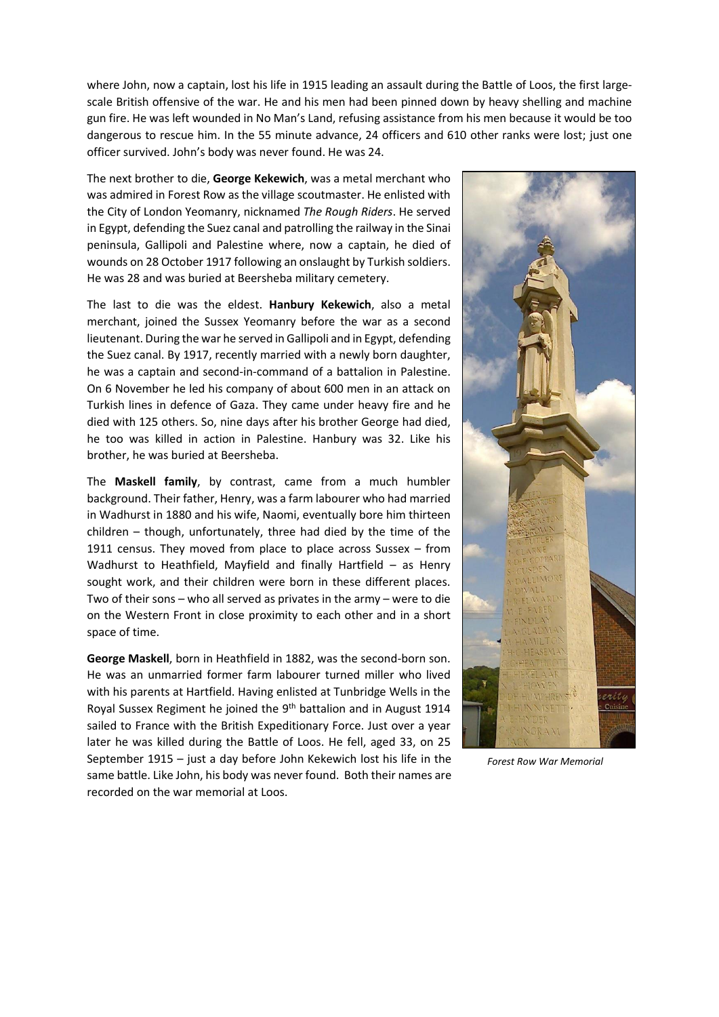where John, now a captain, lost his life in 1915 leading an assault during the Battle of Loos, the first largescale British offensive of the war. He and his men had been pinned down by heavy shelling and machine gun fire. He was left wounded in No Man's Land, refusing assistance from his men because it would be too dangerous to rescue him. In the 55 minute advance, 24 officers and 610 other ranks were lost; just one officer survived. John's body was never found. He was 24.

The next brother to die, **George Kekewich**, was a metal merchant who was admired in Forest Row as the village scoutmaster. He enlisted with the City of London Yeomanry, nicknamed *The Rough Riders*. He served in Egypt, defending the Suez canal and patrolling the railway in the Sinai peninsula, Gallipoli and Palestine where, now a captain, he died of wounds on 28 October 1917 following an onslaught by Turkish soldiers. He was 28 and was buried at Beersheba military cemetery.

The last to die was the eldest. **Hanbury Kekewich**, also a metal merchant, joined the Sussex Yeomanry before the war as a second lieutenant. During the war he served in Gallipoli and in Egypt, defending the Suez canal. By 1917, recently married with a newly born daughter, he was a captain and second-in-command of a battalion in Palestine. On 6 November he led his company of about 600 men in an attack on Turkish lines in defence of Gaza. They came under heavy fire and he died with 125 others. So, nine days after his brother George had died, he too was killed in action in Palestine. Hanbury was 32. Like his brother, he was buried at Beersheba.

The **Maskell family**, by contrast, came from a much humbler background. Their father, Henry, was a farm labourer who had married in Wadhurst in 1880 and his wife, Naomi, eventually bore him thirteen children – though, unfortunately, three had died by the time of the 1911 census. They moved from place to place across Sussex – from Wadhurst to Heathfield, Mayfield and finally Hartfield – as Henry sought work, and their children were born in these different places. Two of their sons – who all served as privates in the army – were to die on the Western Front in close proximity to each other and in a short space of time.

**George Maskell**, born in Heathfield in 1882, was the second-born son. He was an unmarried former farm labourer turned miller who lived with his parents at Hartfield. Having enlisted at Tunbridge Wells in the Royal Sussex Regiment he joined the 9<sup>th</sup> battalion and in August 1914 sailed to France with the British Expeditionary Force. Just over a year later he was killed during the Battle of Loos. He fell, aged 33, on 25 September 1915 – just a day before John Kekewich lost his life in the same battle. Like John, his body was never found. Both their names are recorded on the war memorial at Loos.



*Forest Row War Memorial*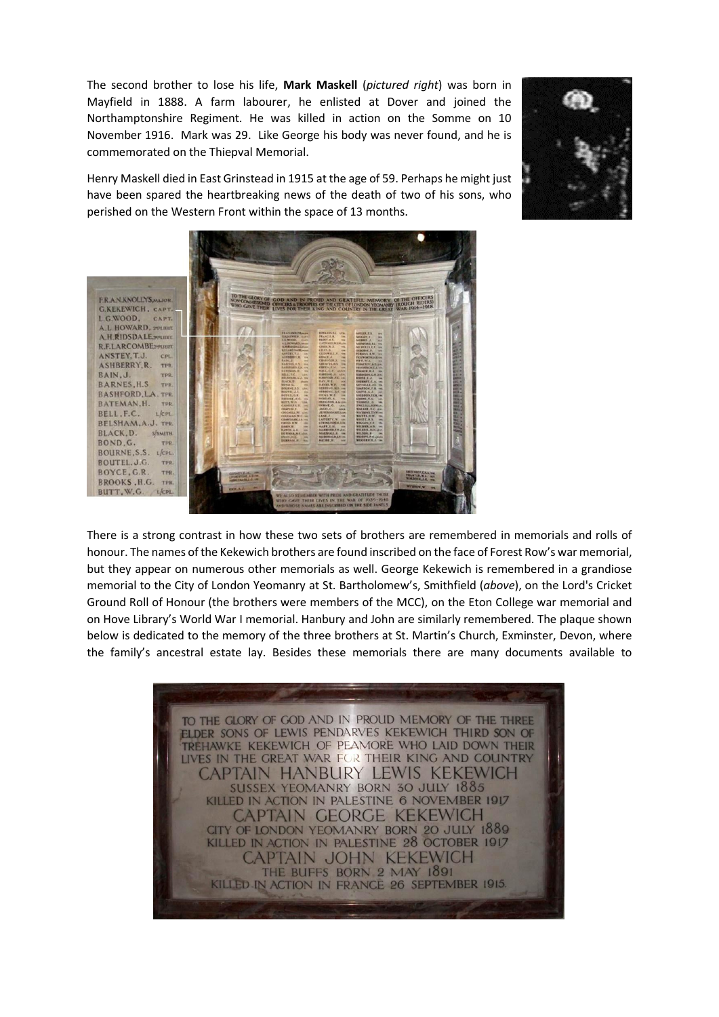The second brother to lose his life, **Mark Maskell** (*pictured right*) was born in Mayfield in 1888. A farm labourer, he enlisted at Dover and joined the Northamptonshire Regiment. He was killed in action on the Somme on 10 November 1916. Mark was 29. Like George his body was never found, and he is commemorated on the Thiepval Memorial.







There is a strong contrast in how these two sets of brothers are remembered in memorials and rolls of honour. The names of the Kekewich brothers are found inscribed on the face of Forest Row's war memorial, but they appear on numerous other memorials as well. George Kekewich is remembered in a grandiose memorial to the City of London Yeomanry at St. Bartholomew's, Smithfield (*above*), on the Lord's Cricket Ground Roll of Honour (the brothers were members of the MCC), on the Eton College war memorial and on Hove Library's World War I memorial. Hanbury and John are similarly remembered. The plaque shown below is dedicated to the memory of the three brothers at St. Martin's Church, Exminster, Devon, where the family's ancestral estate lay. Besides these memorials there are many documents available to